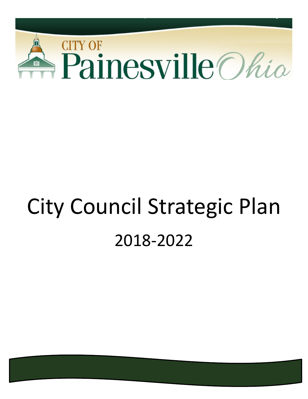

# City Council Strategic Plan 2018-2022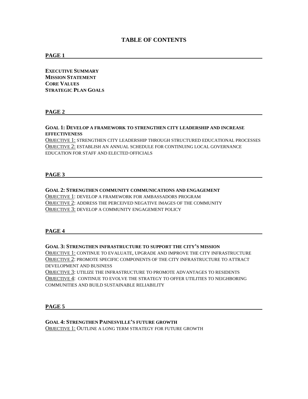# **TABLE OF CONTENTS**

#### **PAGE 1**

**EXECUTIVE SUMMARY MISSION STATEMENT CORE VALUES STRATEGIC PLAN GOALS**

#### **PAGE 2**

#### **GOAL 1: DEVELOP A FRAMEWORK TO STRENGTHEN CITY LEADERSHIP AND INCREASE EFFECTIVENESS**

OBJECTIVE 1: STRENGTHEN CITY LEADERSHIP THROUGH STRUCTURED EDUCATIONAL PROCESSES OBJECTIVE 2: ESTABLISH AN ANNUAL SCHEDULE FOR CONTINUING LOCAL GOVERNANCE EDUCATION FOR STAFF AND ELECTED OFFICIALS

#### **PAGE 3**

#### **GOAL 2: STRENGTHEN COMMUNITY COMMUNICATIONS AND ENGAGEMENT**

OBJECTIVE 1: DEVELOP A FRAMEWORK FOR AMBASSADORS PROGRAM OBJECTIVE 2: ADDRESS THE PERCEIVED NEGATIVE IMAGES OF THE COMMUNITY OBJECTIVE 3: DEVELOP A COMMUNITY ENGAGEMENT POLICY

#### **PAGE 4**

#### **GOAL 3: STRENGTHEN INFRASTRUCTURE TO SUPPORT THE CITY'S MISSION**

OBJECTIVE 1: CONTINUE TO EVALUATE, UPGRADE AND IMPROVE THE CITY INFRASTRUCTURE OBJECTIVE 2: PROMOTE SPECIFIC COMPONENTS OF THE CITY INFRASTRUCTURE TO ATTRACT DEVELOPMENT AND BUSINESS

OBJECTIVE 3: UTILIZE THE INFRASTRUCTURE TO PROMOTE ADVANTAGES TO RESIDENTS OBJECTIVE 4: CONTINUE TO EVOLVE THE STRATEGY TO OFFER UTILITIES TO NEIGHBORING COMMUNITIES AND BUILD SUSTAINABLE RELIABILITY

#### **PAGE 5**

#### **GOAL 4: STRENGTHEN PAINESVILLE'S FUTURE GROWTH**

OBJECTIVE 1: OUTLINE A LONG TERM STRATEGY FOR FUTURE GROWTH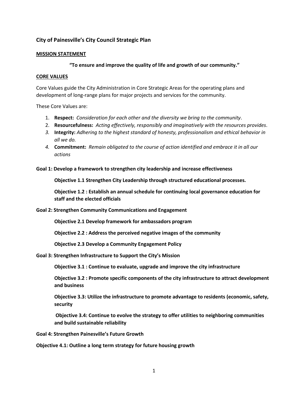# **City of Painesville's City Council Strategic Plan**

## **MISSION STATEMENT**

# **"To ensure and improve the quality of life and growth of our community."**

### **CORE VALUES**

Core Values guide the City Administration in Core Strategic Areas for the operating plans and development of long-range plans for major projects and services for the community.

These Core Values are:

- 1. **Respect:** *Consideration for each other and the diversity we bring to the community*.
- 2. **Resourcefulness:** *Acting effectively, responsibly and imaginatively with the resources provides*.
- *3.* **Integrity:** *Adhering to the highest standard of honesty, professionalism and ethical behavior in all we do.*
- *4.* **Commitment:** *Remain obligated to the course of action identified and embrace it in all our actions*

**Goal 1: Develop a framework to strengthen city leadership and increase effectiveness**

**Objective 1.1 Strengthen City Leadership through structured educational processes.**

**Objective 1.2 : Establish an annual schedule for continuing local governance education for staff and the elected officials**

**Goal 2: Strengthen Community Communications and Engagement**

**Objective 2.1 Develop framework for ambassadors program**

**Objective 2.2 : Address the perceived negative images of the community**

**Objective 2.3 Develop a Community Engagement Policy**

**Goal 3: Strengthen Infrastructure to Support the City's Mission**

**Objective 3.1 : Continue to evaluate, upgrade and improve the city infrastructure**

**Objective 3.2 : Promote specific components of the city infrastructure to attract development and business**

**Objective 3.3: Utilize the infrastructure to promote advantage to residents (economic, safety, security**

**Objective 3.4: Continue to evolve the strategy to offer utilities to neighboring communities and build sustainable reliability**

**Goal 4: Strengthen Painesville's Future Growth**

**Objective 4.1: Outline a long term strategy for future housing growth**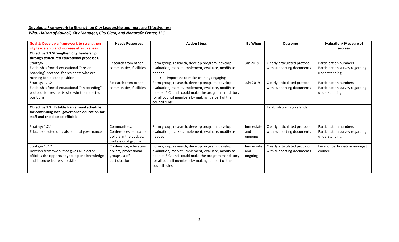# **Develop a Framework to Strengthen City Leadership and Increase Effectiveness**

*Who: Liaison of Council, City Manager, City Clerk, and Nonprofit Center, LLC.*

| <b>Goal 1: Develop a framework to strengthen</b> | <b>Needs Resources</b>  | <b>Action Steps</b>                                | By When          | <b>Outcome</b>               | <b>Evaluation/ Measure of</b>  |
|--------------------------------------------------|-------------------------|----------------------------------------------------|------------------|------------------------------|--------------------------------|
| city leadership and increase effectiveness       |                         |                                                    |                  |                              | <b>success</b>                 |
| <b>Objective 1.1 Strengthen City Leadership</b>  |                         |                                                    |                  |                              |                                |
| through structured educational processes.        |                         |                                                    |                  |                              |                                |
| Strategy 1.1.1                                   | Research from other     | Form group, research, develop program, develop     | Jan 2019         | Clearly articulated protocol | Participation numbers          |
| Establish a formal educational "pre-on           | communities, facilities | evaluation, market, implement, evaluate, modify as |                  | with supporting documents    | Participation survey regarding |
| boarding" protocol for residents who are         |                         | needed                                             |                  |                              | understanding                  |
| running for elected position                     |                         | Important to make training engaging                |                  |                              |                                |
| Strategy 1.1.2                                   | Research from other     | Form group, research, develop program, develop     | <b>July 2019</b> | Clearly articulated protocol | Participation numbers          |
| Establish a formal educational "on boarding"     | communities, facilities | evaluation, market, implement, evaluate, modify as |                  | with supporting documents    | Participation survey regarding |
| protocol for residents who win their elected     |                         | needed * Council could make the program mandatory  |                  |                              | understanding                  |
| positions                                        |                         | for all council members by making it a part of the |                  |                              |                                |
|                                                  |                         | council rules                                      |                  |                              |                                |
| Objective 1.2 : Establish an annual schedule     |                         |                                                    |                  | Establish training calendar  |                                |
| for continuing local governance education for    |                         |                                                    |                  |                              |                                |
| staff and the elected officials                  |                         |                                                    |                  |                              |                                |
|                                                  |                         |                                                    |                  |                              |                                |
| Strategy 1.2.1                                   | Communities,            | Form group, research, develop program, develop     | Immediate        | Clearly articulated protocol | Participation numbers          |
| Educate elected officials on local governance    | Conferences, education  | evaluation, market, implement, evaluate, modify as | and              | with supporting documents    | Participation survey regarding |
|                                                  | dollars in the budget,  | needed                                             | ongoing          |                              | understanding                  |
|                                                  | professional groups     |                                                    |                  |                              |                                |
| Strategy 1.2.2                                   | Conference, education   | Form group, research, develop program, develop     | Immediate        | Clearly articulated protocol | Level of participation amongst |
| Develop framework that gives all elected         | dollars, professional   | evaluation, market, implement, evaluate, modify as | and              | with supporting documents    | council                        |
| officials the opportunity to expand knowledge    | groups, staff           | needed * Council could make the program mandatory  | ongoing          |                              |                                |
| and improve leadership skills                    | participation           | for all council members by making it a part of the |                  |                              |                                |
|                                                  |                         | council rules                                      |                  |                              |                                |
|                                                  |                         |                                                    |                  |                              |                                |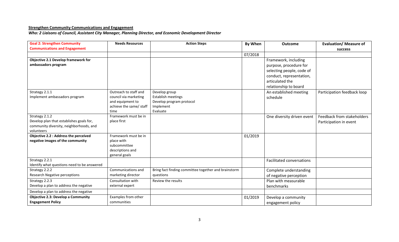# **Strengthen Community Communications and Engagement**

*Who: 2 Liaisons of Council, Assistant City Manager, Planning Director, and Economic Development Director*

| <b>Goal 2: Strengthen Community</b>         | <b>Needs Resources</b>  | <b>Action Steps</b>                                  | By When | <b>Outcome</b>                   | <b>Evaluation/ Measure of</b> |
|---------------------------------------------|-------------------------|------------------------------------------------------|---------|----------------------------------|-------------------------------|
| <b>Communications and Engagement</b>        |                         |                                                      |         |                                  | success                       |
|                                             |                         |                                                      | 07/2018 |                                  |                               |
| Objective 2.1 Develop framework for         |                         |                                                      |         | Framework, including             |                               |
| ambassadors program                         |                         |                                                      |         | purpose, procedure for           |                               |
|                                             |                         |                                                      |         | selecting people, code of        |                               |
|                                             |                         |                                                      |         | conduct, representation,         |                               |
|                                             |                         |                                                      |         | articulated the                  |                               |
|                                             |                         |                                                      |         | relationship to board            |                               |
| Strategy 2.1.1                              | Outreach to staff and   | Develop group                                        |         | An established meeting           | Participation feedback loop   |
| Implement ambassadors program               | council via marketing   | Establish meetings                                   |         | schedule                         |                               |
|                                             | and equipment to        | Develop program protocol                             |         |                                  |                               |
|                                             | achieve the same/ staff | Implement                                            |         |                                  |                               |
|                                             | time                    | Evaluate                                             |         |                                  |                               |
| Strategy 2.1.2                              | Framework must be in    |                                                      |         | One diversity driven event       | Feedback from stakeholders    |
| Develop plan that establishes goals for,    | place first             |                                                      |         |                                  | Participation in event        |
| community diversity, neighborhoods, and     |                         |                                                      |         |                                  |                               |
| volunteers                                  |                         |                                                      |         |                                  |                               |
| Objective 2.2 : Address the perceived       | Framework must be in    |                                                      | 01/2019 |                                  |                               |
| negative images of the community            | place with              |                                                      |         |                                  |                               |
|                                             | subcommittee            |                                                      |         |                                  |                               |
|                                             | descriptions and        |                                                      |         |                                  |                               |
| Strategy 2.2.1                              | general goals           |                                                      |         |                                  |                               |
| Identify what questions need to be answered |                         |                                                      |         | <b>Facilitated conversations</b> |                               |
| Strategy 2.2.2                              | Communications and      | Bring fact finding committee together and brainstorm |         | Complete understanding           |                               |
| Research Negative perceptions               | marketing director      | questions                                            |         | of negative perception           |                               |
| Strategy 2.2.3                              | Consultation with       | Review the results                                   |         | Plan with measurable             |                               |
| Develop a plan to address the negative      | external expert         |                                                      |         |                                  |                               |
|                                             |                         |                                                      |         | benchmarks                       |                               |
| Develop a plan to address the negative      |                         |                                                      |         |                                  |                               |
| <b>Objective 2.3: Develop a Community</b>   | Examples from other     |                                                      | 01/2019 | Develop a community              |                               |
| <b>Engagement Policy</b>                    | communities             |                                                      |         | engagement policy                |                               |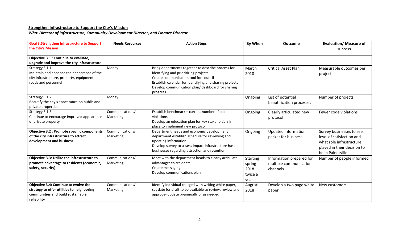# **Strengthen Infrastructure to Support the City's Mission**

*Who: Director of Infrastructure, Community Development Director, and Finance Director*

| <b>Goal 3:Strengthen Infrastructure to Support</b><br>the City's Mission                                                                | <b>Needs Resources</b>       | <b>Action Steps</b>                                                                                                                                                                                                                                              | By When                                              | <b>Outcome</b>                                                 | <b>Evaluation/ Measure of</b><br><b>success</b>                                                                                       |
|-----------------------------------------------------------------------------------------------------------------------------------------|------------------------------|------------------------------------------------------------------------------------------------------------------------------------------------------------------------------------------------------------------------------------------------------------------|------------------------------------------------------|----------------------------------------------------------------|---------------------------------------------------------------------------------------------------------------------------------------|
| Objective 3.1 : Continue to evaluate,<br>upgrade and improve the city infrastructure                                                    |                              |                                                                                                                                                                                                                                                                  |                                                      |                                                                |                                                                                                                                       |
| Strategy 3.1.1<br>Maintain and enhance the appearance of the<br>city infrastructure, property, equipment,<br>roads and personnel        | Money                        | Bring departments together to describe process for<br>identifying and prioritizing projects<br>Create communication tool for council<br>Establish calendar for identifying and sharing projects<br>Develop communication plan/ dashboard for sharing<br>progress | March<br>2018                                        | <b>Critical Asset Plan</b>                                     | Measurable outcomes per<br>project                                                                                                    |
| Strategy 3.1.2<br>Beautify the city's appearance on public and<br>private properties                                                    | Money                        |                                                                                                                                                                                                                                                                  | Ongoing                                              | List of potential<br>beautification processes                  | Number of projects                                                                                                                    |
| Strategy 3.1.3<br>Continue to encourage improved appearance<br>of private property                                                      | Communications/<br>Marketing | Establish benchmark - current number of code<br>violations<br>Develop an education plan for key stakeholders in<br>place to implement new protocol                                                                                                               | Ongoing                                              | Clearly articulated new<br>protocol                            | Fewer code violations                                                                                                                 |
| <b>Objective 3.2 : Promote specific components</b><br>of the city infrastructure to attract<br>development and business                 | Communications/<br>Marketing | Department heads and economic development<br>department establish schedule for reviewing and<br>updating information<br>Develop survey to assess impact infrastructure has on<br>businesses regarding attraction and retention                                   | Ongoing                                              | Updated information<br>packet for business                     | Survey businesses to see<br>level of satisfaction and<br>what role infrastructure<br>played in their decision to<br>be in Painesville |
| Objective 3.3: Utilize the infrastructure to<br>promote advantage to residents (economic,<br>safety, security)                          | Communications/<br>Marketing | Meet with the department heads to clearly articulate<br>advantages to residents<br>Create messaging<br>Develop communications plan                                                                                                                               | <b>Starting</b><br>spring<br>2018<br>twice a<br>year | Information prepared for<br>multiple communication<br>channels | Number of people informed                                                                                                             |
| Objective 3.4: Continue to evolve the<br>strategy to offer utilities to neighboring<br>communities and build sustainable<br>reliability | Communications/<br>Marketing | Identify individual charged with writing white paper,<br>set date for draft to be available to review, review and<br>approve- update bi-annually or as needed                                                                                                    | August<br>2018                                       | Develop a two page white<br>paper                              | New customers                                                                                                                         |